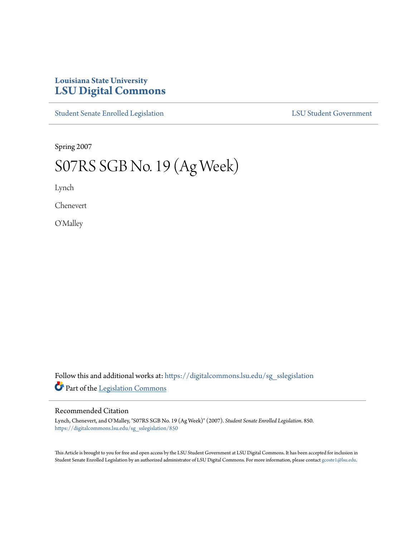## **Louisiana State University [LSU Digital Commons](https://digitalcommons.lsu.edu?utm_source=digitalcommons.lsu.edu%2Fsg_sslegislation%2F850&utm_medium=PDF&utm_campaign=PDFCoverPages)**

[Student Senate Enrolled Legislation](https://digitalcommons.lsu.edu/sg_sslegislation?utm_source=digitalcommons.lsu.edu%2Fsg_sslegislation%2F850&utm_medium=PDF&utm_campaign=PDFCoverPages) [LSU Student Government](https://digitalcommons.lsu.edu/sg?utm_source=digitalcommons.lsu.edu%2Fsg_sslegislation%2F850&utm_medium=PDF&utm_campaign=PDFCoverPages)

Spring 2007

## S07RS SGB No. 19 (Ag Week)

Lynch

Chenevert

O'Malley

Follow this and additional works at: [https://digitalcommons.lsu.edu/sg\\_sslegislation](https://digitalcommons.lsu.edu/sg_sslegislation?utm_source=digitalcommons.lsu.edu%2Fsg_sslegislation%2F850&utm_medium=PDF&utm_campaign=PDFCoverPages) Part of the [Legislation Commons](http://network.bepress.com/hgg/discipline/859?utm_source=digitalcommons.lsu.edu%2Fsg_sslegislation%2F850&utm_medium=PDF&utm_campaign=PDFCoverPages)

## Recommended Citation

Lynch, Chenevert, and O'Malley, "S07RS SGB No. 19 (Ag Week)" (2007). *Student Senate Enrolled Legislation*. 850. [https://digitalcommons.lsu.edu/sg\\_sslegislation/850](https://digitalcommons.lsu.edu/sg_sslegislation/850?utm_source=digitalcommons.lsu.edu%2Fsg_sslegislation%2F850&utm_medium=PDF&utm_campaign=PDFCoverPages)

This Article is brought to you for free and open access by the LSU Student Government at LSU Digital Commons. It has been accepted for inclusion in Student Senate Enrolled Legislation by an authorized administrator of LSU Digital Commons. For more information, please contact [gcoste1@lsu.edu.](mailto:gcoste1@lsu.edu)